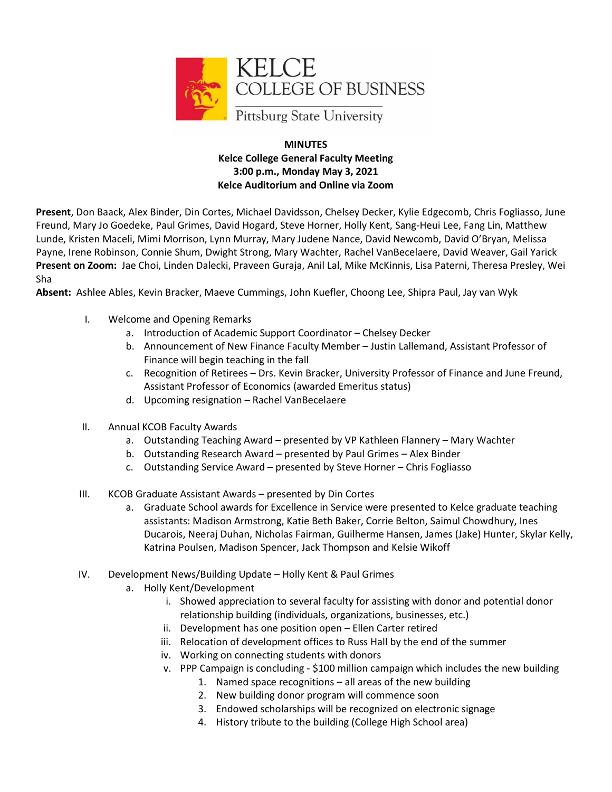

#### **MINUTES Kelce College General Faculty Meeting 3:00 p.m., Monday May 3, 2021 Kelce Auditorium and Online via Zoom**

**Present**, Don Baack, Alex Binder, Din Cortes, Michael Davidsson, Chelsey Decker, Kylie Edgecomb, Chris Fogliasso, June Freund, Mary Jo Goedeke, Paul Grimes, David Hogard, Steve Horner, Holly Kent, Sang-Heui Lee, Fang Lin, Matthew Lunde, Kristen Maceli, Mimi Morrison, Lynn Murray, Mary Judene Nance, David Newcomb, David O'Bryan, Melissa Payne, Irene Robinson, Connie Shum, Dwight Strong, Mary Wachter, Rachel VanBecelaere, David Weaver, Gail Yarick **Present on Zoom:** Jae Choi, Linden Dalecki, Praveen Guraja, Anil Lal, Mike McKinnis, Lisa Paterni, Theresa Presley, Wei Sha

**Absent:** Ashlee Ables, Kevin Bracker, Maeve Cummings, John Kuefler, Choong Lee, Shipra Paul, Jay van Wyk

- I. Welcome and Opening Remarks
	- a. Introduction of Academic Support Coordinator Chelsey Decker
	- b. Announcement of New Finance Faculty Member Justin Lallemand, Assistant Professor of Finance will begin teaching in the fall
	- c. Recognition of Retirees Drs. Kevin Bracker, University Professor of Finance and June Freund, Assistant Professor of Economics (awarded Emeritus status)
	- d. Upcoming resignation Rachel VanBecelaere
- II. Annual KCOB Faculty Awards
	- a. Outstanding Teaching Award presented by VP Kathleen Flannery Mary Wachter
	- b. Outstanding Research Award presented by Paul Grimes Alex Binder
	- c. Outstanding Service Award presented by Steve Horner Chris Fogliasso
- III. KCOB Graduate Assistant Awards presented by Din Cortes
	- a. Graduate School awards for Excellence in Service were presented to Kelce graduate teaching assistants: Madison Armstrong, Katie Beth Baker, Corrie Belton, Saimul Chowdhury, Ines Ducarois, Neeraj Duhan, Nicholas Fairman, Guilherme Hansen, James (Jake) Hunter, Skylar Kelly, Katrina Poulsen, Madison Spencer, Jack Thompson and Kelsie Wikoff
- IV. Development News/Building Update Holly Kent & Paul Grimes
	- a. Holly Kent/Development
		- i. Showed appreciation to several faculty for assisting with donor and potential donor relationship building (individuals, organizations, businesses, etc.)
		- ii. Development has one position open Ellen Carter retired
		- iii. Relocation of development offices to Russ Hall by the end of the summer
		- iv. Working on connecting students with donors
		- v. PPP Campaign is concluding \$100 million campaign which includes the new building
			- 1. Named space recognitions all areas of the new building
			- 2. New building donor program will commence soon
			- 3. Endowed scholarships will be recognized on electronic signage
			- 4. History tribute to the building (College High School area)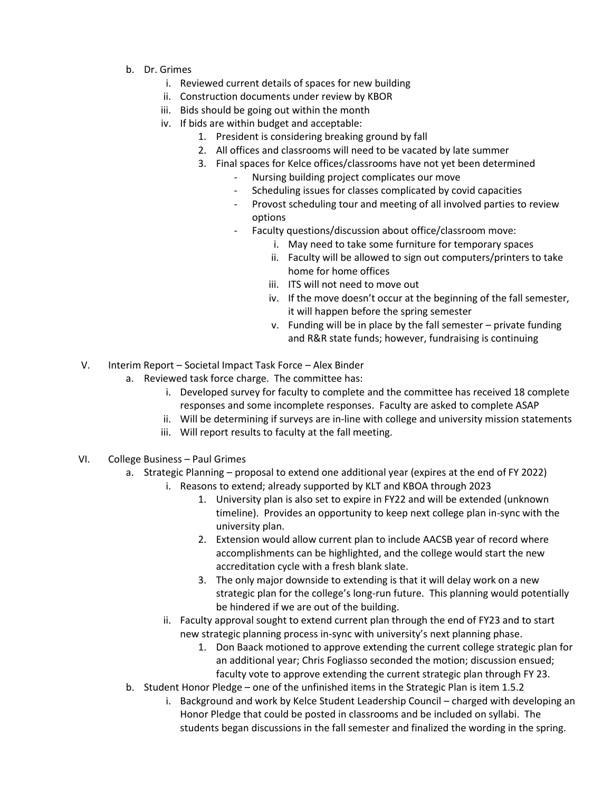- b. Dr. Grimes
	- i. Reviewed current details of spaces for new building
	- ii. Construction documents under review by KBOR
	- iii. Bids should be going out within the month
	- iv. If bids are within budget and acceptable:
		- 1. President is considering breaking ground by fall
		- 2. All offices and classrooms will need to be vacated by late summer
		- 3. Final spaces for Kelce offices/classrooms have not yet been determined
			- Nursing building project complicates our move
			- Scheduling issues for classes complicated by covid capacities
			- Provost scheduling tour and meeting of all involved parties to review options
			- Faculty questions/discussion about office/classroom move:
				- i. May need to take some furniture for temporary spaces
					- ii. Faculty will be allowed to sign out computers/printers to take home for home offices
				- iii. ITS will not need to move out
				- iv. If the move doesn't occur at the beginning of the fall semester, it will happen before the spring semester
				- v. Funding will be in place by the fall semester private funding and R&R state funds; however, fundraising is continuing
- V. Interim Report Societal Impact Task Force Alex Binder
	- a. Reviewed task force charge. The committee has:
		- i. Developed survey for faculty to complete and the committee has received 18 complete responses and some incomplete responses. Faculty are asked to complete ASAP
		- ii. Will be determining if surveys are in-line with college and university mission statements
		- iii. Will report results to faculty at the fall meeting.
- VI. College Business Paul Grimes
	- a. Strategic Planning proposal to extend one additional year (expires at the end of FY 2022)
		- i. Reasons to extend; already supported by KLT and KBOA through 2023
			- 1. University plan is also set to expire in FY22 and will be extended (unknown timeline). Provides an opportunity to keep next college plan in-sync with the university plan.
			- 2. Extension would allow current plan to include AACSB year of record where accomplishments can be highlighted, and the college would start the new accreditation cycle with a fresh blank slate.
			- 3. The only major downside to extending is that it will delay work on a new strategic plan for the college's long-run future. This planning would potentially be hindered if we are out of the building.
		- ii. Faculty approval sought to extend current plan through the end of FY23 and to start new strategic planning process in-sync with university's next planning phase.
			- 1. Don Baack motioned to approve extending the current college strategic plan for an additional year; Chris Fogliasso seconded the motion; discussion ensued; faculty vote to approve extending the current strategic plan through FY 23.
	- b. Student Honor Pledge one of the unfinished items in the Strategic Plan is item 1.5.2
		- i. Background and work by Kelce Student Leadership Council charged with developing an Honor Pledge that could be posted in classrooms and be included on syllabi. The students began discussions in the fall semester and finalized the wording in the spring.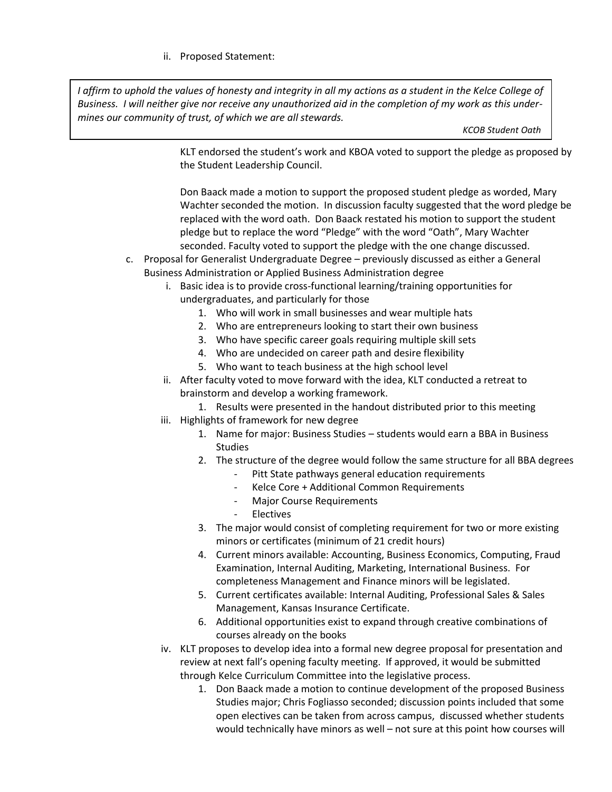#### ii. Proposed Statement:

*I affirm to uphold the values of honesty and integrity in all my actions as a student in the Kelce College of Business. I will neither give nor receive any unauthorized aid in the completion of my work as this undermines our community of trust, of which we are all stewards.*

 *KCOB Student Oath*

KLT endorsed the student's work and KBOA voted to support the pledge as proposed by the Student Leadership Council.

Don Baack made a motion to support the proposed student pledge as worded, Mary Wachter seconded the motion. In discussion faculty suggested that the word pledge be replaced with the word oath. Don Baack restated his motion to support the student pledge but to replace the word "Pledge" with the word "Oath", Mary Wachter seconded. Faculty voted to support the pledge with the one change discussed.

- c. Proposal for Generalist Undergraduate Degree previously discussed as either a General Business Administration or Applied Business Administration degree
	- i. Basic idea is to provide cross-functional learning/training opportunities for undergraduates, and particularly for those
		- 1. Who will work in small businesses and wear multiple hats
		- 2. Who are entrepreneurs looking to start their own business
		- 3. Who have specific career goals requiring multiple skill sets
		- 4. Who are undecided on career path and desire flexibility
		- 5. Who want to teach business at the high school level
	- ii. After faculty voted to move forward with the idea, KLT conducted a retreat to brainstorm and develop a working framework.
	- 1. Results were presented in the handout distributed prior to this meeting iii. Highlights of framework for new degree
		- 1. Name for major: Business Studies students would earn a BBA in Business Studies
		- 2. The structure of the degree would follow the same structure for all BBA degrees
			- Pitt State pathways general education requirements
			- Kelce Core + Additional Common Requirements
			- Major Course Requirements
			- Electives
		- 3. The major would consist of completing requirement for two or more existing minors or certificates (minimum of 21 credit hours)
		- 4. Current minors available: Accounting, Business Economics, Computing, Fraud Examination, Internal Auditing, Marketing, International Business. For completeness Management and Finance minors will be legislated.
		- 5. Current certificates available: Internal Auditing, Professional Sales & Sales Management, Kansas Insurance Certificate.
		- 6. Additional opportunities exist to expand through creative combinations of courses already on the books
	- iv. KLT proposes to develop idea into a formal new degree proposal for presentation and review at next fall's opening faculty meeting. If approved, it would be submitted through Kelce Curriculum Committee into the legislative process.
		- 1. Don Baack made a motion to continue development of the proposed Business Studies major; Chris Fogliasso seconded; discussion points included that some open electives can be taken from across campus, discussed whether students would technically have minors as well – not sure at this point how courses will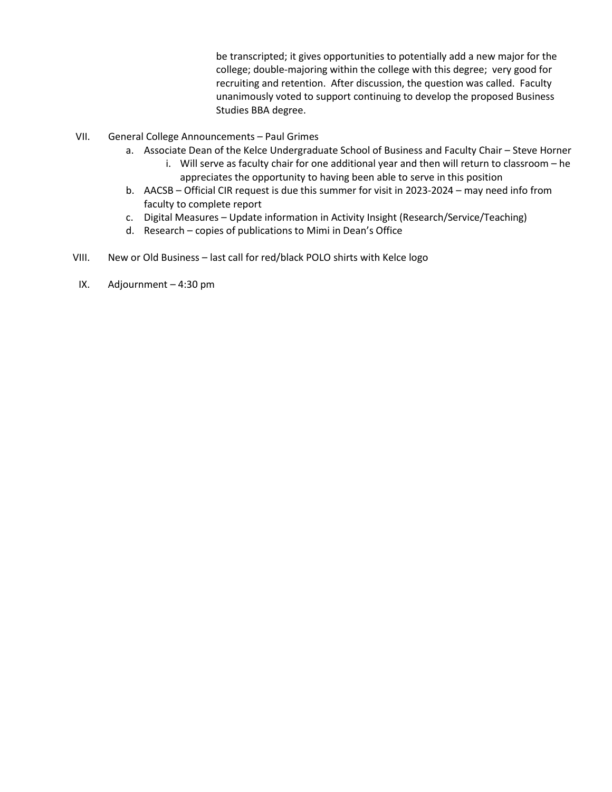be transcripted; it gives opportunities to potentially add a new major for the college; double-majoring within the college with this degree; very good for recruiting and retention. After discussion, the question was called. Faculty unanimously voted to support continuing to develop the proposed Business Studies BBA degree.

- VII. General College Announcements Paul Grimes
	- a. Associate Dean of the Kelce Undergraduate School of Business and Faculty Chair Steve Horner
		- i. Will serve as faculty chair for one additional year and then will return to classroom he appreciates the opportunity to having been able to serve in this position
	- b. AACSB Official CIR request is due this summer for visit in 2023-2024 may need info from faculty to complete report
	- c. Digital Measures Update information in Activity Insight (Research/Service/Teaching)
	- d. Research copies of publications to Mimi in Dean's Office
- VIII. New or Old Business last call for red/black POLO shirts with Kelce logo
- IX. Adjournment 4:30 pm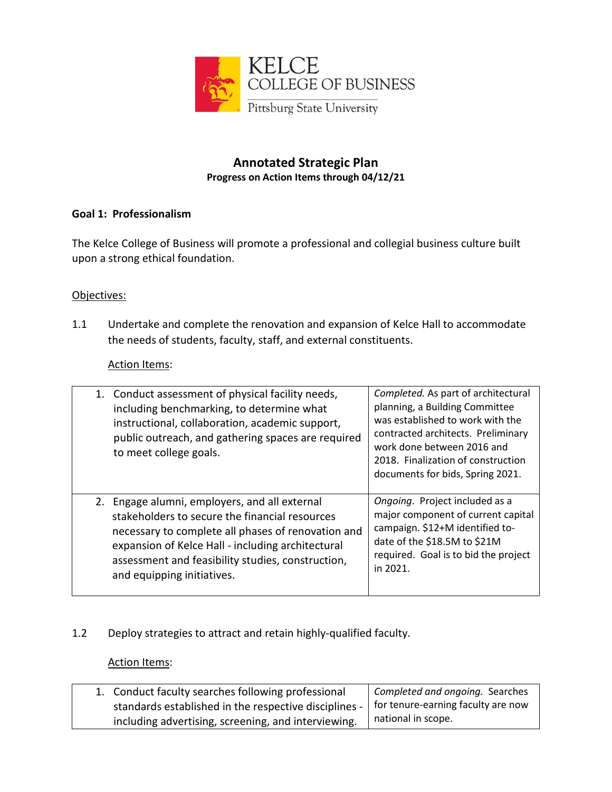

# **Annotated Strategic Plan Progress on Action Items through 04/12/21**

# **Goal 1: Professionalism**

The Kelce College of Business will promote a professional and collegial business culture built upon a strong ethical foundation.

### Objectives:

1.1 Undertake and complete the renovation and expansion of Kelce Hall to accommodate the needs of students, faculty, staff, and external constituents.

#### Action Items:

| 1. Conduct assessment of physical facility needs,<br>including benchmarking, to determine what<br>instructional, collaboration, academic support,<br>public outreach, and gathering spaces are required<br>to meet college goals.                                                             | Completed. As part of architectural<br>planning, a Building Committee<br>was established to work with the<br>contracted architects. Preliminary<br>work done between 2016 and<br>2018. Finalization of construction<br>documents for bids, Spring 2021. |
|-----------------------------------------------------------------------------------------------------------------------------------------------------------------------------------------------------------------------------------------------------------------------------------------------|---------------------------------------------------------------------------------------------------------------------------------------------------------------------------------------------------------------------------------------------------------|
| 2. Engage alumni, employers, and all external<br>stakeholders to secure the financial resources<br>necessary to complete all phases of renovation and<br>expansion of Kelce Hall - including architectural<br>assessment and feasibility studies, construction,<br>and equipping initiatives. | Ongoing. Project included as a<br>major component of current capital<br>campaign. \$12+M identified to-<br>date of the \$18.5M to \$21M<br>required. Goal is to bid the project<br>in 2021.                                                             |

# 1.2 Deploy strategies to attract and retain highly-qualified faculty.

| 1. Conduct faculty searches following professional                                         | Completed and ongoing. Searches |
|--------------------------------------------------------------------------------------------|---------------------------------|
| standards established in the respective disciplines -   for tenure-earning faculty are now |                                 |
| including advertising, screening, and interviewing.                                        | national in scope.              |
|                                                                                            |                                 |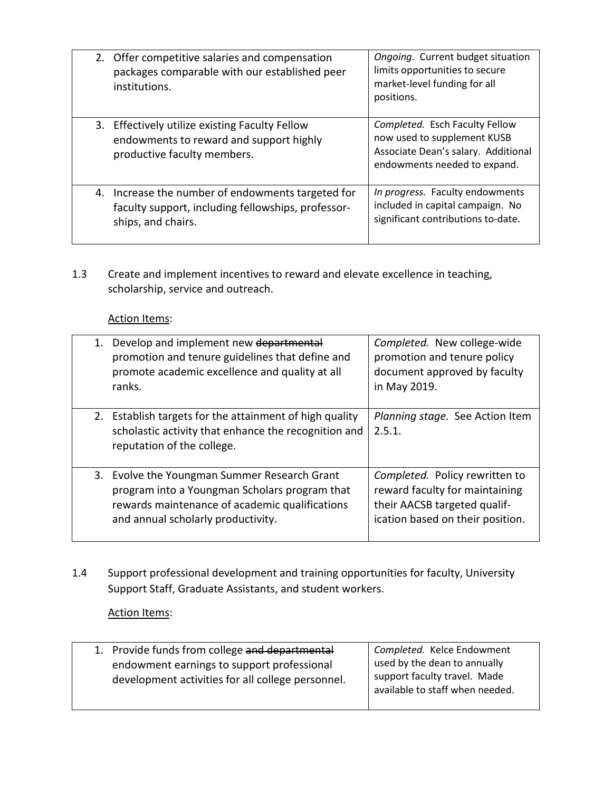| 2. Offer competitive salaries and compensation<br>packages comparable with our established peer<br>institutions.              | Ongoing. Current budget situation<br>limits opportunities to secure<br>market-level funding for all<br>positions.                    |
|-------------------------------------------------------------------------------------------------------------------------------|--------------------------------------------------------------------------------------------------------------------------------------|
| 3. Effectively utilize existing Faculty Fellow<br>endowments to reward and support highly<br>productive faculty members.      | Completed. Esch Faculty Fellow<br>now used to supplement KUSB<br>Associate Dean's salary. Additional<br>endowments needed to expand. |
| 4. Increase the number of endowments targeted for<br>faculty support, including fellowships, professor-<br>ships, and chairs. | In progress. Faculty endowments<br>included in capital campaign. No<br>significant contributions to-date.                            |

1.3 Create and implement incentives to reward and elevate excellence in teaching, scholarship, service and outreach.

# Action Items:

| 1. Develop and implement new departmental<br>promotion and tenure guidelines that define and<br>promote academic excellence and quality at all<br>ranks.                              | Completed. New college-wide<br>promotion and tenure policy<br>document approved by faculty<br>in May 2019.                           |
|---------------------------------------------------------------------------------------------------------------------------------------------------------------------------------------|--------------------------------------------------------------------------------------------------------------------------------------|
| 2. Establish targets for the attainment of high quality<br>scholastic activity that enhance the recognition and<br>reputation of the college.                                         | Planning stage. See Action Item<br>2.5.1.                                                                                            |
| 3. Evolve the Youngman Summer Research Grant<br>program into a Youngman Scholars program that<br>rewards maintenance of academic qualifications<br>and annual scholarly productivity. | Completed. Policy rewritten to<br>reward faculty for maintaining<br>their AACSB targeted qualif-<br>ication based on their position. |

1.4 Support professional development and training opportunities for faculty, University Support Staff, Graduate Assistants, and student workers.

| 1. Provide funds from college and departmental<br>endowment earnings to support professional<br>development activities for all college personnel. | Completed. Kelce Endowment<br>used by the dean to annually<br>support faculty travel. Made<br>available to staff when needed. |
|---------------------------------------------------------------------------------------------------------------------------------------------------|-------------------------------------------------------------------------------------------------------------------------------|
|                                                                                                                                                   |                                                                                                                               |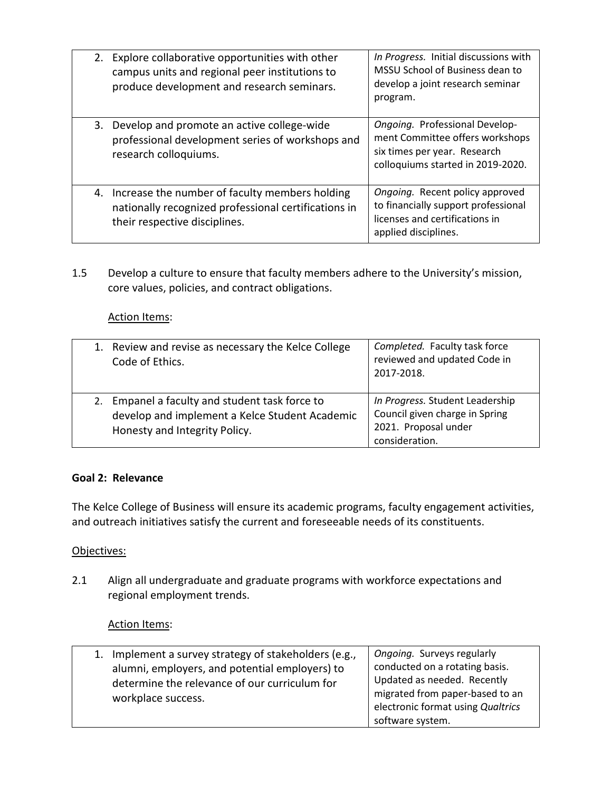| 2. Explore collaborative opportunities with other<br>campus units and regional peer institutions to<br>produce development and research seminars. | In Progress. Initial discussions with<br>MSSU School of Business dean to<br>develop a joint research seminar<br>program.               |
|---------------------------------------------------------------------------------------------------------------------------------------------------|----------------------------------------------------------------------------------------------------------------------------------------|
| 3. Develop and promote an active college-wide<br>professional development series of workshops and<br>research colloquiums.                        | Ongoing. Professional Develop-<br>ment Committee offers workshops<br>six times per year. Research<br>colloquiums started in 2019-2020. |
| 4. Increase the number of faculty members holding<br>nationally recognized professional certifications in<br>their respective disciplines.        | Ongoing. Recent policy approved<br>to financially support professional<br>licenses and certifications in<br>applied disciplines.       |

1.5 Develop a culture to ensure that faculty members adhere to the University's mission, core values, policies, and contract obligations.

### Action Items:

|    | 1. Review and revise as necessary the Kelce College<br>Code of Ethics.                                                         | Completed. Faculty task force<br>reviewed and updated Code in<br>2017-2018.                                 |
|----|--------------------------------------------------------------------------------------------------------------------------------|-------------------------------------------------------------------------------------------------------------|
| 2. | Empanel a faculty and student task force to<br>develop and implement a Kelce Student Academic<br>Honesty and Integrity Policy. | In Progress. Student Leadership<br>Council given charge in Spring<br>2021. Proposal under<br>consideration. |

#### **Goal 2: Relevance**

The Kelce College of Business will ensure its academic programs, faculty engagement activities, and outreach initiatives satisfy the current and foreseeable needs of its constituents.

#### Objectives:

2.1 Align all undergraduate and graduate programs with workforce expectations and regional employment trends.

| 1. Implement a survey strategy of stakeholders (e.g.,<br>alumni, employers, and potential employers) to<br>determine the relevance of our curriculum for<br>workplace success. | Ongoing. Surveys regularly<br>conducted on a rotating basis.<br>Updated as needed. Recently<br>migrated from paper-based to an<br>electronic format using Qualtrics<br>software system. |
|--------------------------------------------------------------------------------------------------------------------------------------------------------------------------------|-----------------------------------------------------------------------------------------------------------------------------------------------------------------------------------------|
|--------------------------------------------------------------------------------------------------------------------------------------------------------------------------------|-----------------------------------------------------------------------------------------------------------------------------------------------------------------------------------------|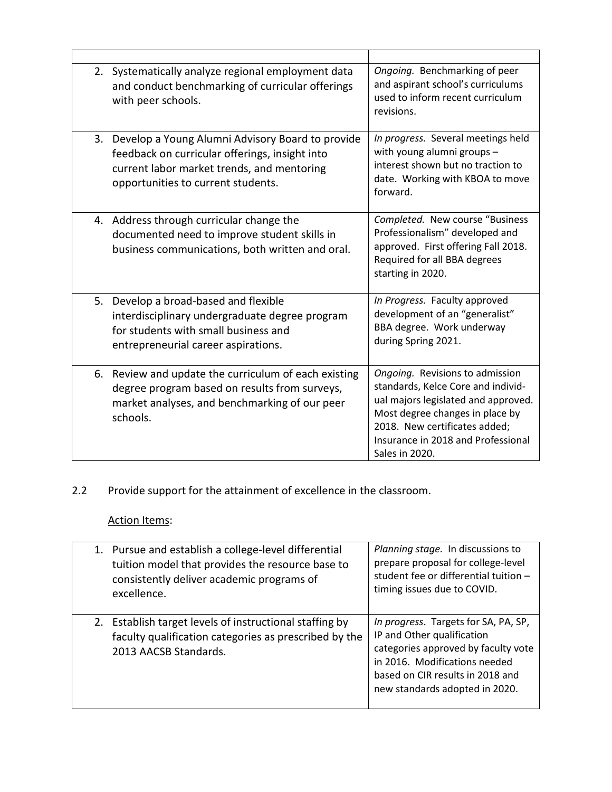|    | 2. Systematically analyze regional employment data<br>and conduct benchmarking of curricular offerings<br>with peer schools.                                                           | Ongoing. Benchmarking of peer<br>and aspirant school's curriculums<br>used to inform recent curriculum<br>revisions.                                                                                                                     |
|----|----------------------------------------------------------------------------------------------------------------------------------------------------------------------------------------|------------------------------------------------------------------------------------------------------------------------------------------------------------------------------------------------------------------------------------------|
| 3. | Develop a Young Alumni Advisory Board to provide<br>feedback on curricular offerings, insight into<br>current labor market trends, and mentoring<br>opportunities to current students. | In progress. Several meetings held<br>with young alumni groups -<br>interest shown but no traction to<br>date. Working with KBOA to move<br>forward.                                                                                     |
|    | 4. Address through curricular change the<br>documented need to improve student skills in<br>business communications, both written and oral.                                            | Completed. New course "Business<br>Professionalism" developed and<br>approved. First offering Fall 2018.<br>Required for all BBA degrees<br>starting in 2020.                                                                            |
| 5. | Develop a broad-based and flexible<br>interdisciplinary undergraduate degree program<br>for students with small business and<br>entrepreneurial career aspirations.                    | In Progress. Faculty approved<br>development of an "generalist"<br>BBA degree. Work underway<br>during Spring 2021.                                                                                                                      |
| 6. | Review and update the curriculum of each existing<br>degree program based on results from surveys,<br>market analyses, and benchmarking of our peer<br>schools.                        | Ongoing. Revisions to admission<br>standards, Kelce Core and individ-<br>ual majors legislated and approved.<br>Most degree changes in place by<br>2018. New certificates added;<br>Insurance in 2018 and Professional<br>Sales in 2020. |

# 2.2 Provide support for the attainment of excellence in the classroom.

| 1. Pursue and establish a college-level differential<br>tuition model that provides the resource base to<br>consistently deliver academic programs of<br>excellence. | Planning stage. In discussions to<br>prepare proposal for college-level<br>student fee or differential tuition -<br>timing issues due to COVID.                                                                  |
|----------------------------------------------------------------------------------------------------------------------------------------------------------------------|------------------------------------------------------------------------------------------------------------------------------------------------------------------------------------------------------------------|
| 2. Establish target levels of instructional staffing by<br>faculty qualification categories as prescribed by the<br>2013 AACSB Standards.                            | In progress. Targets for SA, PA, SP,<br>IP and Other qualification<br>categories approved by faculty vote<br>in 2016. Modifications needed<br>based on CIR results in 2018 and<br>new standards adopted in 2020. |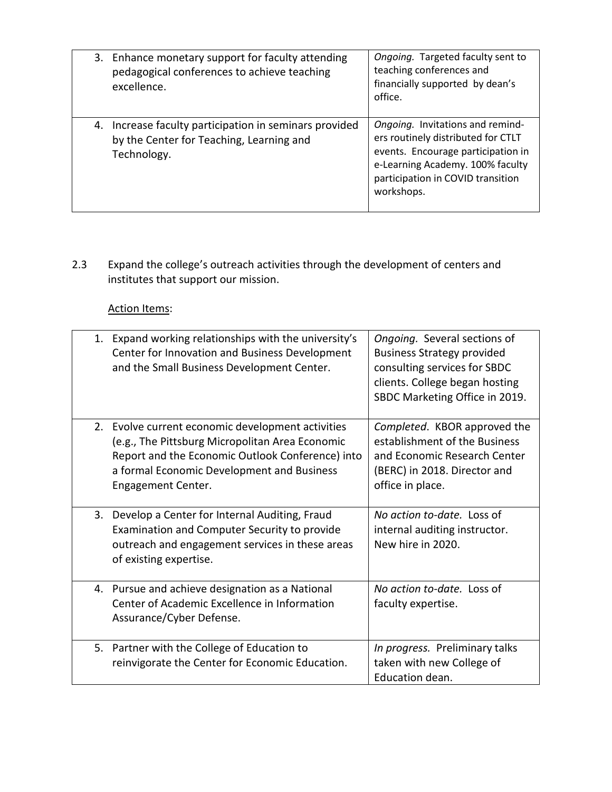| 3. Enhance monetary support for faculty attending<br>pedagogical conferences to achieve teaching<br>excellence.   | Ongoing. Targeted faculty sent to<br>teaching conferences and<br>financially supported by dean's<br>office.                                                                                         |
|-------------------------------------------------------------------------------------------------------------------|-----------------------------------------------------------------------------------------------------------------------------------------------------------------------------------------------------|
| 4. Increase faculty participation in seminars provided<br>by the Center for Teaching, Learning and<br>Technology. | Ongoing. Invitations and remind-<br>ers routinely distributed for CTLT<br>events. Encourage participation in<br>e-Learning Academy. 100% faculty<br>participation in COVID transition<br>workshops. |

2.3 Expand the college's outreach activities through the development of centers and institutes that support our mission.

|    | 1. Expand working relationships with the university's<br>Center for Innovation and Business Development<br>and the Small Business Development Center.                                                                        | Ongoing. Several sections of<br><b>Business Strategy provided</b><br>consulting services for SBDC<br>clients. College began hosting<br>SBDC Marketing Office in 2019. |
|----|------------------------------------------------------------------------------------------------------------------------------------------------------------------------------------------------------------------------------|-----------------------------------------------------------------------------------------------------------------------------------------------------------------------|
|    | 2. Evolve current economic development activities<br>(e.g., The Pittsburg Micropolitan Area Economic<br>Report and the Economic Outlook Conference) into<br>a formal Economic Development and Business<br>Engagement Center. | Completed. KBOR approved the<br>establishment of the Business<br>and Economic Research Center<br>(BERC) in 2018. Director and<br>office in place.                     |
| 3. | Develop a Center for Internal Auditing, Fraud<br>Examination and Computer Security to provide<br>outreach and engagement services in these areas<br>of existing expertise.                                                   | No action to-date. Loss of<br>internal auditing instructor.<br>New hire in 2020.                                                                                      |
| 4. | Pursue and achieve designation as a National<br>Center of Academic Excellence in Information<br>Assurance/Cyber Defense.                                                                                                     | No action to-date. Loss of<br>faculty expertise.                                                                                                                      |
|    | 5. Partner with the College of Education to<br>reinvigorate the Center for Economic Education.                                                                                                                               | In progress. Preliminary talks<br>taken with new College of<br>Education dean.                                                                                        |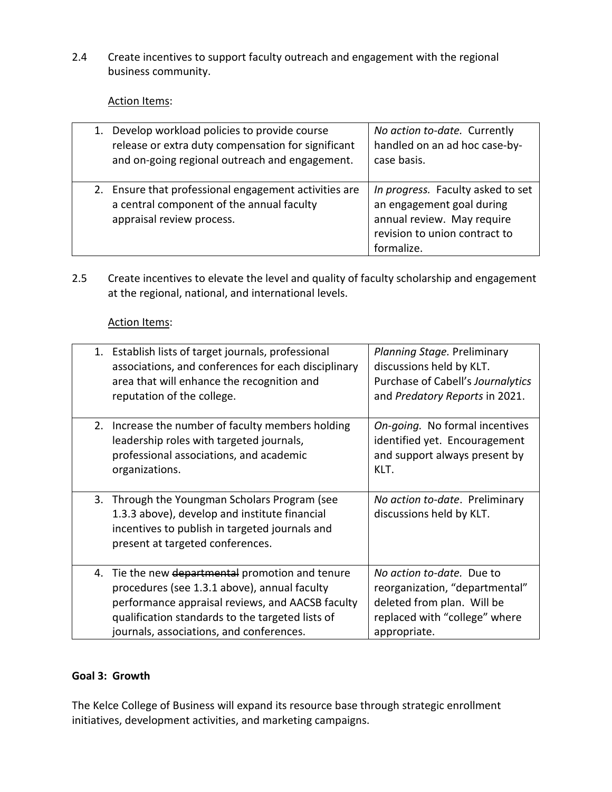2.4 Create incentives to support faculty outreach and engagement with the regional business community.

# Action Items:

|  | 1. Develop workload policies to provide course<br>release or extra duty compensation for significant<br>and on-going regional outreach and engagement. | No action to-date. Currently<br>handled on an ad hoc case-by-<br>case basis.                                                                |
|--|--------------------------------------------------------------------------------------------------------------------------------------------------------|---------------------------------------------------------------------------------------------------------------------------------------------|
|  | 2. Ensure that professional engagement activities are<br>a central component of the annual faculty<br>appraisal review process.                        | In progress. Faculty asked to set<br>an engagement goal during<br>annual review. May require<br>revision to union contract to<br>formalize. |

2.5 Create incentives to elevate the level and quality of faculty scholarship and engagement at the regional, national, and international levels.

### Action Items:

|    | 1. Establish lists of target journals, professional<br>associations, and conferences for each disciplinary<br>area that will enhance the recognition and<br>reputation of the college.                                                            | Planning Stage. Preliminary<br>discussions held by KLT.<br>Purchase of Cabell's Journalytics<br>and Predatory Reports in 2021.             |
|----|---------------------------------------------------------------------------------------------------------------------------------------------------------------------------------------------------------------------------------------------------|--------------------------------------------------------------------------------------------------------------------------------------------|
| 2. | Increase the number of faculty members holding<br>leadership roles with targeted journals,<br>professional associations, and academic<br>organizations.                                                                                           | On-going. No formal incentives<br>identified yet. Encouragement<br>and support always present by<br>KLT.                                   |
| 3. | Through the Youngman Scholars Program (see<br>1.3.3 above), develop and institute financial<br>incentives to publish in targeted journals and<br>present at targeted conferences.                                                                 | No action to-date. Preliminary<br>discussions held by KLT.                                                                                 |
| 4. | Tie the new departmental promotion and tenure<br>procedures (see 1.3.1 above), annual faculty<br>performance appraisal reviews, and AACSB faculty<br>qualification standards to the targeted lists of<br>journals, associations, and conferences. | No action to-date. Due to<br>reorganization, "departmental"<br>deleted from plan. Will be<br>replaced with "college" where<br>appropriate. |

### **Goal 3: Growth**

The Kelce College of Business will expand its resource base through strategic enrollment initiatives, development activities, and marketing campaigns.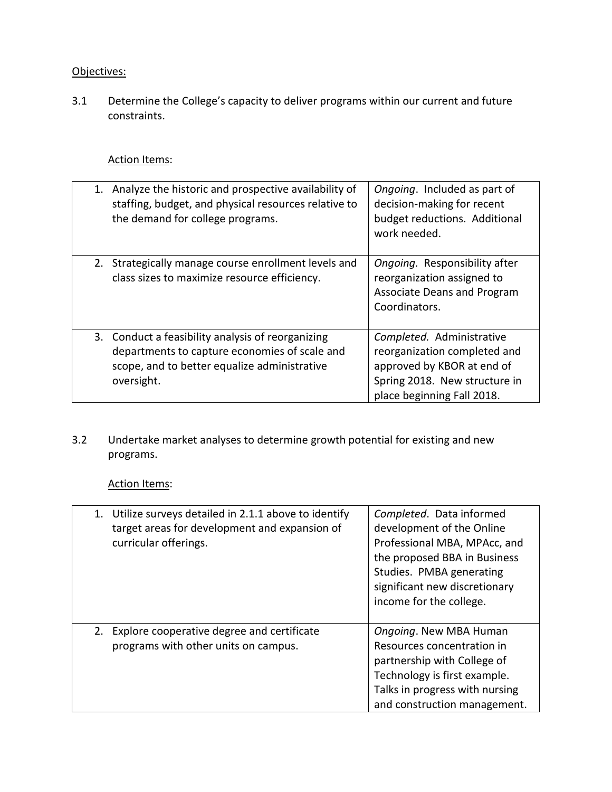# Objectives:

3.1 Determine the College's capacity to deliver programs within our current and future constraints.

# Action Items:

| 1. Analyze the historic and prospective availability of<br>staffing, budget, and physical resources relative to<br>the demand for college programs.              | Ongoing. Included as part of<br>decision-making for recent<br>budget reductions. Additional<br>work needed.                                            |
|------------------------------------------------------------------------------------------------------------------------------------------------------------------|--------------------------------------------------------------------------------------------------------------------------------------------------------|
| 2. Strategically manage course enrollment levels and<br>class sizes to maximize resource efficiency.                                                             | Ongoing. Responsibility after<br>reorganization assigned to<br><b>Associate Deans and Program</b><br>Coordinators.                                     |
| 3. Conduct a feasibility analysis of reorganizing<br>departments to capture economies of scale and<br>scope, and to better equalize administrative<br>oversight. | Completed. Administrative<br>reorganization completed and<br>approved by KBOR at end of<br>Spring 2018. New structure in<br>place beginning Fall 2018. |

3.2 Undertake market analyses to determine growth potential for existing and new programs.

| 1. Utilize surveys detailed in 2.1.1 above to identify<br>target areas for development and expansion of<br>curricular offerings. | Completed. Data informed<br>development of the Online<br>Professional MBA, MPAcc, and<br>the proposed BBA in Business<br>Studies. PMBA generating<br>significant new discretionary<br>income for the college. |
|----------------------------------------------------------------------------------------------------------------------------------|---------------------------------------------------------------------------------------------------------------------------------------------------------------------------------------------------------------|
| 2. Explore cooperative degree and certificate<br>programs with other units on campus.                                            | Ongoing. New MBA Human<br>Resources concentration in<br>partnership with College of<br>Technology is first example.<br>Talks in progress with nursing<br>and construction management.                         |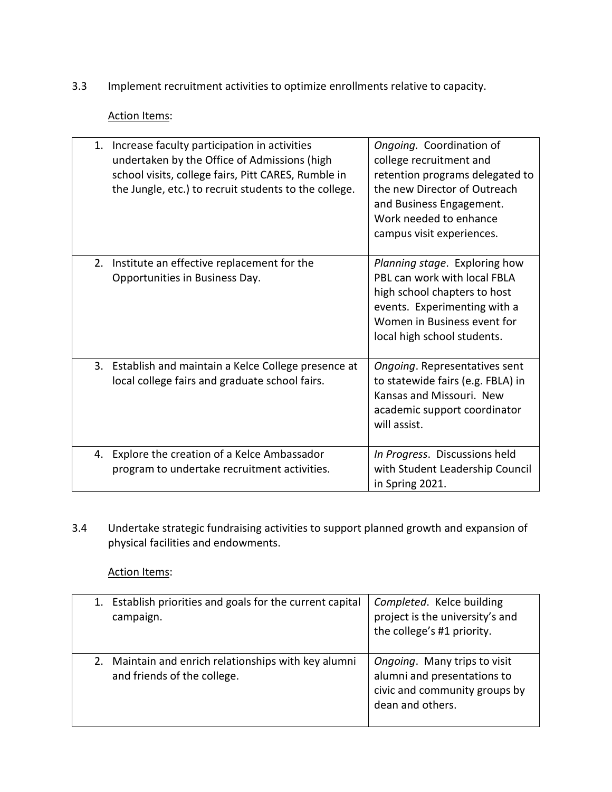3.3 Implement recruitment activities to optimize enrollments relative to capacity.

### Action Items:

|    | 1. Increase faculty participation in activities<br>undertaken by the Office of Admissions (high<br>school visits, college fairs, Pitt CARES, Rumble in<br>the Jungle, etc.) to recruit students to the college. | Ongoing. Coordination of<br>college recruitment and<br>retention programs delegated to<br>the new Director of Outreach<br>and Business Engagement.<br>Work needed to enhance<br>campus visit experiences. |
|----|-----------------------------------------------------------------------------------------------------------------------------------------------------------------------------------------------------------------|-----------------------------------------------------------------------------------------------------------------------------------------------------------------------------------------------------------|
| 2. | Institute an effective replacement for the<br>Opportunities in Business Day.                                                                                                                                    | Planning stage. Exploring how<br>PBL can work with local FBLA<br>high school chapters to host<br>events. Experimenting with a<br>Women in Business event for<br>local high school students.               |
|    | 3. Establish and maintain a Kelce College presence at<br>local college fairs and graduate school fairs.                                                                                                         | Ongoing. Representatives sent<br>to statewide fairs (e.g. FBLA) in<br>Kansas and Missouri. New<br>academic support coordinator<br>will assist.                                                            |
|    | 4. Explore the creation of a Kelce Ambassador<br>program to undertake recruitment activities.                                                                                                                   | In Progress. Discussions held<br>with Student Leadership Council<br>in Spring 2021.                                                                                                                       |

3.4 Undertake strategic fundraising activities to support planned growth and expansion of physical facilities and endowments.

| 1. Establish priorities and goals for the current capital<br>campaign.              | Completed. Kelce building<br>project is the university's and<br>the college's #1 priority.                       |
|-------------------------------------------------------------------------------------|------------------------------------------------------------------------------------------------------------------|
| 2. Maintain and enrich relationships with key alumni<br>and friends of the college. | Ongoing. Many trips to visit<br>alumni and presentations to<br>civic and community groups by<br>dean and others. |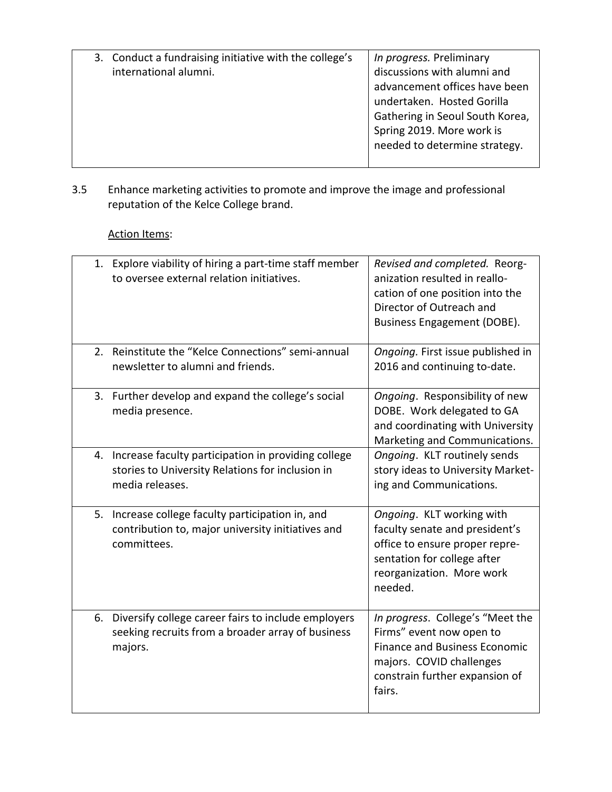| 3. Conduct a fundraising initiative with the college's<br>international alumni. | In progress. Preliminary<br>discussions with alumni and<br>advancement offices have been<br>undertaken. Hosted Gorilla<br>Gathering in Seoul South Korea,<br>Spring 2019. More work is<br>needed to determine strategy. |
|---------------------------------------------------------------------------------|-------------------------------------------------------------------------------------------------------------------------------------------------------------------------------------------------------------------------|
|---------------------------------------------------------------------------------|-------------------------------------------------------------------------------------------------------------------------------------------------------------------------------------------------------------------------|

3.5 Enhance marketing activities to promote and improve the image and professional reputation of the Kelce College brand.

|    | 1. Explore viability of hiring a part-time staff member<br>to oversee external relation initiatives.                       | Revised and completed. Reorg-<br>anization resulted in reallo-<br>cation of one position into the<br>Director of Outreach and<br>Business Engagement (DOBE).                 |
|----|----------------------------------------------------------------------------------------------------------------------------|------------------------------------------------------------------------------------------------------------------------------------------------------------------------------|
| 2. | Reinstitute the "Kelce Connections" semi-annual<br>newsletter to alumni and friends.                                       | Ongoing. First issue published in<br>2016 and continuing to-date.                                                                                                            |
| 3. | Further develop and expand the college's social<br>media presence.                                                         | Ongoing. Responsibility of new<br>DOBE. Work delegated to GA<br>and coordinating with University<br>Marketing and Communications.                                            |
| 4. | Increase faculty participation in providing college<br>stories to University Relations for inclusion in<br>media releases. | Ongoing. KLT routinely sends<br>story ideas to University Market-<br>ing and Communications.                                                                                 |
| 5. | Increase college faculty participation in, and<br>contribution to, major university initiatives and<br>committees.         | Ongoing. KLT working with<br>faculty senate and president's<br>office to ensure proper repre-<br>sentation for college after<br>reorganization. More work<br>needed.         |
|    | 6. Diversify college career fairs to include employers<br>seeking recruits from a broader array of business<br>majors.     | In progress. College's "Meet the<br>Firms" event now open to<br><b>Finance and Business Economic</b><br>majors. COVID challenges<br>constrain further expansion of<br>fairs. |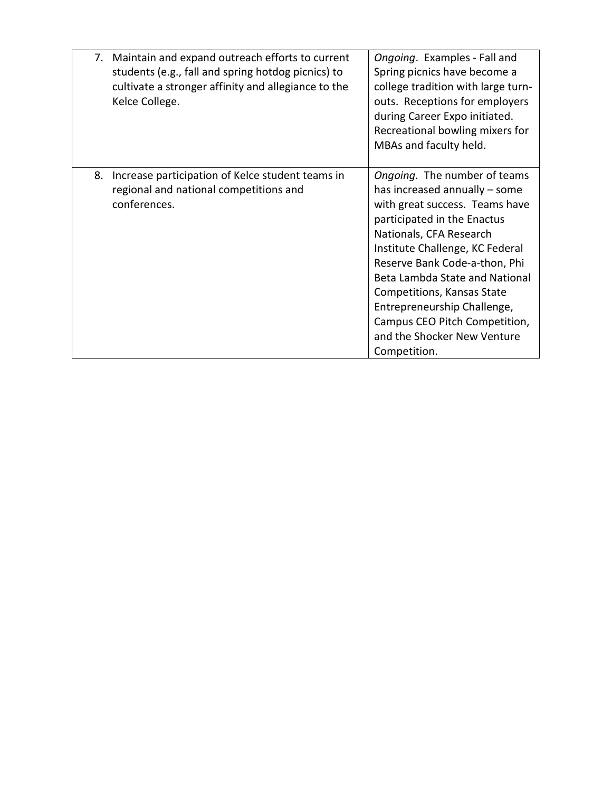|    | 7. Maintain and expand outreach efforts to current<br>students (e.g., fall and spring hotdog picnics) to<br>cultivate a stronger affinity and allegiance to the<br>Kelce College. | Ongoing. Examples - Fall and<br>Spring picnics have become a<br>college tradition with large turn-<br>outs. Receptions for employers<br>during Career Expo initiated.<br>Recreational bowling mixers for<br>MBAs and faculty held.                                                                                                                                                                           |
|----|-----------------------------------------------------------------------------------------------------------------------------------------------------------------------------------|--------------------------------------------------------------------------------------------------------------------------------------------------------------------------------------------------------------------------------------------------------------------------------------------------------------------------------------------------------------------------------------------------------------|
| 8. | Increase participation of Kelce student teams in<br>regional and national competitions and<br>conferences.                                                                        | Ongoing. The number of teams<br>has increased annually – some<br>with great success. Teams have<br>participated in the Enactus<br>Nationals, CFA Research<br>Institute Challenge, KC Federal<br>Reserve Bank Code-a-thon, Phi<br>Beta Lambda State and National<br>Competitions, Kansas State<br>Entrepreneurship Challenge,<br>Campus CEO Pitch Competition,<br>and the Shocker New Venture<br>Competition. |